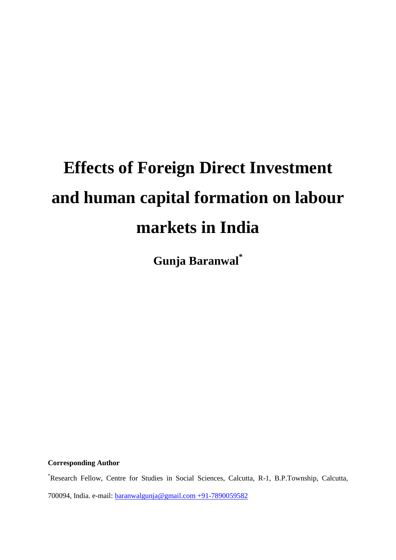# **Effects of Foreign Direct Investment and human capital formation on labour markets in India**

**Gunja Baranwal\***

**Corresponding Author**

\*Research Fellow, Centre for Studies in Social Sciences, Calcutta, R-1, B.P.Township, Calcutta, 700094, India. e-mail: [baranwalgunja@gmail.com](mailto:baranwalgunja@gmail.com) +91-7890059582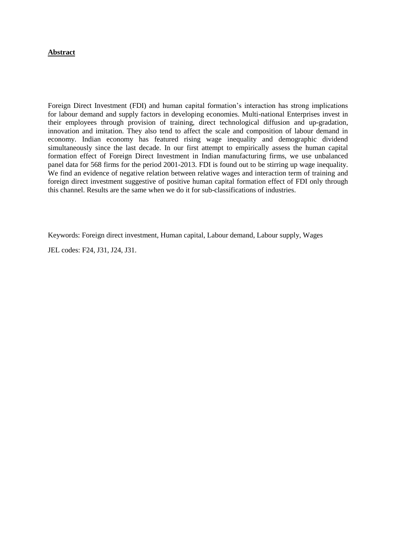# **Abstract**

Foreign Direct Investment (FDI) and human capital formation"s interaction has strong implications for labour demand and supply factors in developing economies. Multi-national Enterprises invest in their employees through provision of training, direct technological diffusion and up-gradation, innovation and imitation. They also tend to affect the scale and composition of labour demand in economy. Indian economy has featured rising wage inequality and demographic dividend simultaneously since the last decade. In our first attempt to empirically assess the human capital formation effect of Foreign Direct Investment in Indian manufacturing firms, we use unbalanced panel data for 568 firms for the period 2001-2013. FDI is found out to be stirring up wage inequality. We find an evidence of negative relation between relative wages and interaction term of training and foreign direct investment suggestive of positive human capital formation effect of FDI only through this channel. Results are the same when we do it for sub-classifications of industries.

Keywords: Foreign direct investment, Human capital, Labour demand, Labour supply, Wages

JEL codes: F24, J31, J24, J31.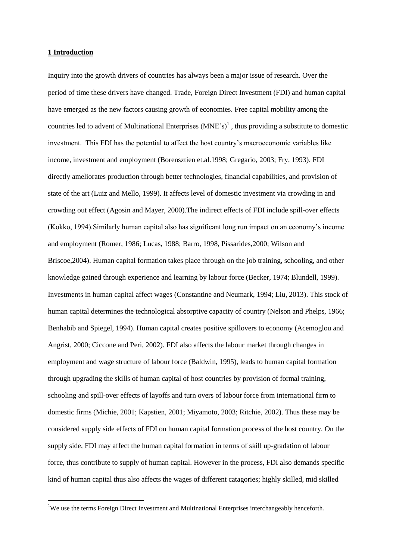#### **1 Introduction**

**.** 

Inquiry into the growth drivers of countries has always been a major issue of research. Over the period of time these drivers have changed. Trade, Foreign Direct Investment (FDI) and human capital have emerged as the new factors causing growth of economies. Free capital mobility among the countries led to advent of Multinational Enterprises  $(MNE's)^1$ , thus providing a substitute to domestic investment. This FDI has the potential to affect the host country"s macroeconomic variables like income, investment and employment (Borensztien et.al.1998; Gregario, 2003; Fry, 1993). FDI directly ameliorates production through better technologies, financial capabilities, and provision of state of the art (Luiz and Mello, 1999). It affects level of domestic investment via crowding in and crowding out effect (Agosin and Mayer, 2000).The indirect effects of FDI include spill-over effects (Kokko, 1994).Similarly human capital also has significant long run impact on an economy"s income and employment (Romer, 1986; Lucas, 1988; Barro, 1998, Pissarides,2000; Wilson and Briscoe,2004). Human capital formation takes place through on the job training, schooling, and other knowledge gained through experience and learning by labour force (Becker, 1974; Blundell, 1999). Investments in human capital affect wages (Constantine and Neumark, 1994; Liu, 2013). This stock of human capital determines the technological absorptive capacity of country (Nelson and Phelps, 1966; Benhabib and Spiegel, 1994). Human capital creates positive spillovers to economy (Acemoglou and Angrist, 2000; Ciccone and Peri, 2002). FDI also affects the labour market through changes in employment and wage structure of labour force (Baldwin, 1995), leads to human capital formation through upgrading the skills of human capital of host countries by provision of formal training, schooling and spill-over effects of layoffs and turn overs of labour force from international firm to domestic firms (Michie, 2001; Kapstien, 2001; Miyamoto, 2003; Ritchie, 2002). Thus these may be considered supply side effects of FDI on human capital formation process of the host country. On the supply side, FDI may affect the human capital formation in terms of skill up-gradation of labour force, thus contribute to supply of human capital. However in the process, FDI also demands specific kind of human capital thus also affects the wages of different catagories; highly skilled, mid skilled

<sup>1</sup>We use the terms Foreign Direct Investment and Multinational Enterprises interchangeably henceforth.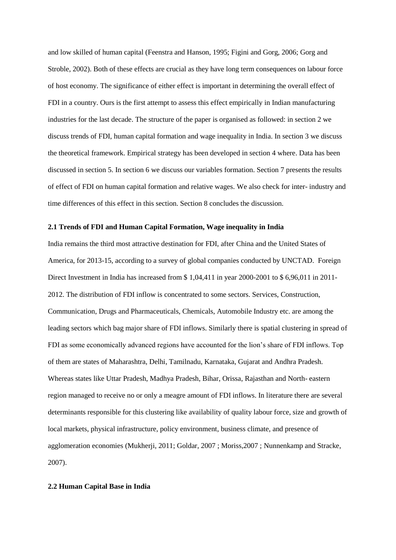and low skilled of human capital (Feenstra and Hanson, 1995; Figini and Gorg, 2006; Gorg and Stroble, 2002). Both of these effects are crucial as they have long term consequences on labour force of host economy. The significance of either effect is important in determining the overall effect of FDI in a country. Ours is the first attempt to assess this effect empirically in Indian manufacturing industries for the last decade. The structure of the paper is organised as followed: in section 2 we discuss trends of FDI, human capital formation and wage inequality in India. In section 3 we discuss the theoretical framework. Empirical strategy has been developed in section 4 where. Data has been discussed in section 5. In section 6 we discuss our variables formation. Section 7 presents the results of effect of FDI on human capital formation and relative wages. We also check for inter- industry and time differences of this effect in this section. Section 8 concludes the discussion.

#### **2.1 Trends of FDI and Human Capital Formation, Wage inequality in India**

India remains the third most attractive destination for FDI, after China and the United States of America, for 2013-15, according to a survey of global companies conducted by UNCTAD. Foreign Direct Investment in India has increased from \$ 1,04,411 in year 2000-2001 to \$ 6,96,011 in 2011- 2012. The distribution of FDI inflow is concentrated to some sectors. Services, Construction, Communication, Drugs and Pharmaceuticals, Chemicals, Automobile Industry etc. are among the leading sectors which bag major share of FDI inflows. Similarly there is spatial clustering in spread of FDI as some economically advanced regions have accounted for the lion"s share of FDI inflows. Top of them are states of Maharashtra, Delhi, Tamilnadu, Karnataka, Gujarat and Andhra Pradesh. Whereas states like Uttar Pradesh, Madhya Pradesh, Bihar, Orissa, Rajasthan and North- eastern region managed to receive no or only a meagre amount of FDI inflows. In literature there are several determinants responsible for this clustering like availability of quality labour force, size and growth of local markets, physical infrastructure, policy environment, business climate, and presence of agglomeration economies (Mukherji, 2011; Goldar, 2007 ; Moriss,2007 ; Nunnenkamp and Stracke, 2007).

## **2.2 Human Capital Base in India**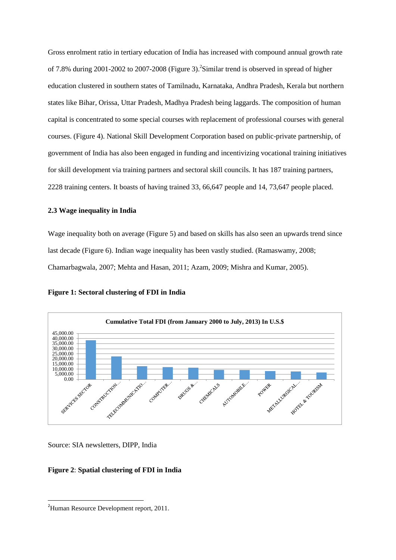Gross enrolment ratio in tertiary education of India has increased with compound annual growth rate of 7.8% during 2001-2002 to 2007-2008 (Figure 3).<sup>2</sup> Similar trend is observed in spread of higher education clustered in southern states of Tamilnadu, Karnataka, Andhra Pradesh, Kerala but northern states like Bihar, Orissa, Uttar Pradesh, Madhya Pradesh being laggards. The composition of human capital is concentrated to some special courses with replacement of professional courses with general courses. (Figure 4). National Skill Development Corporation based on public-private partnership, of government of India has also been engaged in funding and incentivizing vocational training initiatives for skill development via training partners and sectoral skill councils. It has 187 training partners, 2228 training centers. It boasts of having trained 33, 66,647 people and 14, 73,647 people placed.

# **2.3 Wage inequality in India**

Wage inequality both on average (Figure 5) and based on skills has also seen an upwards trend since last decade (Figure 6). Indian wage inequality has been vastly studied. (Ramaswamy, 2008; Chamarbagwala, 2007; Mehta and Hasan, 2011; Azam, 2009; Mishra and Kumar, 2005).

**Figure 1: Sectoral clustering of FDI in India**



Source: SIA newsletters, DIPP, India

# **Figure 2**: **Spatial clustering of FDI in India**

**.** 

<sup>&</sup>lt;sup>2</sup>Human Resource Development report, 2011.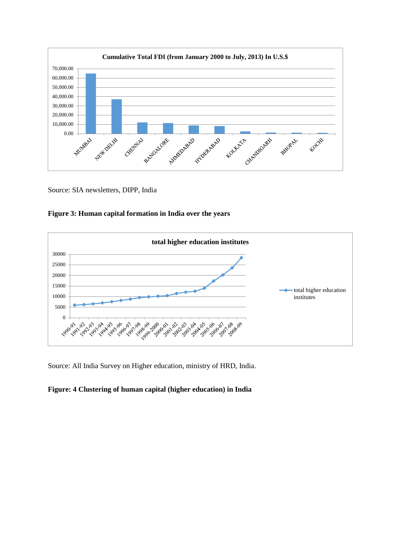

Source: SIA newsletters, DIPP, India





Source: All India Survey on Higher education, ministry of HRD, India.

# **Figure: 4 Clustering of human capital (higher education) in India**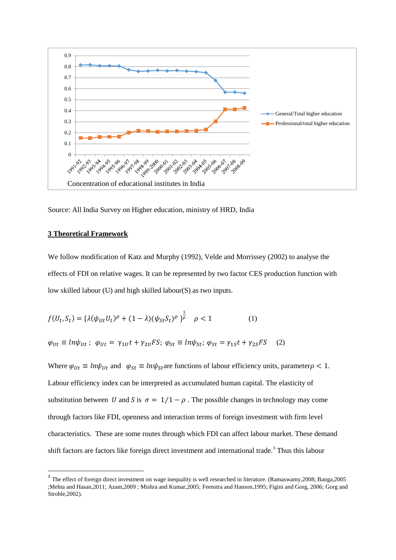

Source: All India Survey on Higher education, ministry of HRD, India

#### **3 Theoretical Framework**

**.** 

We follow modification of Katz and Murphy (1992), Velde and Morrissey (2002) to analyse the effects of FDI on relative wages. It can be represented by two factor CES production function with low skilled labour (U) and high skilled labour(S) as two inputs.

$$
f(U_t, S_t) = {\lambda(\psi_{Ut}U_t)^{\rho} + (1 - \lambda)(\psi_{St}S_t)^{\rho}}_{\rho}^{\frac{1}{\rho}} \quad \rho < 1
$$
 (1)

$$
\varphi_{Ut} \equiv ln\psi_{Ut}; \ \varphi_{Ut} = \gamma_{1U}t + \gamma_{2U}FS; \ \varphi_{St} \equiv ln\psi_{St}; \ \varphi_{St} = \gamma_{1S}t + \gamma_{2S}FS \quad (2)
$$

Where  $\varphi_{Ut} \equiv ln\psi_{Ut}$  and  $\varphi_{St} \equiv ln\psi_{St}$  are functions of labour efficiency units, parameter  $\rho < 1$ . Labour efficiency index can be interpreted as accumulated human capital. The elasticity of substitution between U and S is  $\sigma = 1/1 - \rho$ . The possible changes in technology may come through factors like FDI, openness and interaction terms of foreign investment with firm level characteristics. These are some routes through which FDI can affect labour market. These demand shift factors are factors like foreign direct investment and international trade.<sup>3</sup> Thus this labour

<sup>&</sup>lt;sup>3</sup> The effect of foreign direct investment on wage inequality is well researched in literature. (Ramaswamy, 2008; Banga, 2005 ;Mehta and Hasan,2011; Azam,2009 ; Mishra and Kumar,2005; Feenstra and Hanson,1995; Figini and Gorg, 2006; Gorg and Stroble,2002).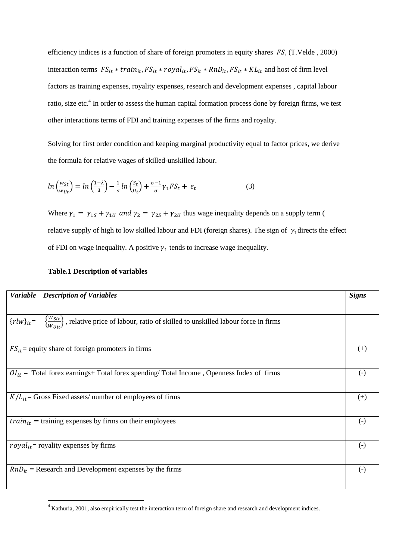efficiency indices is a function of share of foreign promoters in equity shares  $FS$ , (T.Velde, 2000) interaction terms  $FS_{it}$  \* train<sub>it</sub>,  $FS_{it}$  \* royal<sub>it</sub>,  $FS_{it}$  \* RnD<sub>it</sub>,  $FS_{it}$  \* KL<sub>it</sub> and host of firm level factors as training expenses, royality expenses, research and development expenses , capital labour ratio, size etc.<sup>4</sup> In order to assess the human capital formation process done by foreign firms, we test other interactions terms of FDI and training expenses of the firms and royalty.

Solving for first order condition and keeping marginal productivity equal to factor prices, we derive the formula for relative wages of skilled-unskilled labour.

$$
ln\left(\frac{w_{St}}{w_{Ut}}\right) = ln\left(\frac{1-\lambda}{\lambda}\right) - \frac{1}{\sigma}ln\left(\frac{S_t}{U_t}\right) + \frac{\sigma - 1}{\sigma}\gamma_1 FS_t + \varepsilon_t
$$
\n(3)

Where  $\gamma_1 = \gamma_{1S} + \gamma_{1U}$  and  $\gamma_2 = \gamma_{2S} + \gamma_{2U}$  thus wage inequality depends on a supply term ( relative supply of high to low skilled labour and FDI (foreign shares). The sign of  $\gamma_1$  directs the effect of FDI on wage inequality. A positive  $\gamma_1$  tends to increase wage inequality.

| <b>Variable</b><br><b>Description of Variables</b>                                                                                | <b>Signs</b>      |
|-----------------------------------------------------------------------------------------------------------------------------------|-------------------|
|                                                                                                                                   |                   |
| $\{\frac{W_{Sit}}{W_{Uit}}\}$ , relative price of labour, ratio of skilled to unskilled labour force in firms<br>$\{rlw\}_{it} =$ |                   |
| $FS_{it}$ = equity share of foreign promoters in firms                                                                            | $^{(+)}$          |
| $OI_{it}$ = Total forex earnings+ Total forex spending/ Total Income, Openness Index of firms                                     | $\left( -\right)$ |
| $K/L_{it}$ = Gross Fixed assets/ number of employees of firms                                                                     | $(+)$             |
| $train_{it}$ = training expenses by firms on their employees                                                                      | $\left( -\right)$ |
| $royal_{it}$ = royality expenses by firms                                                                                         | $\left( -\right)$ |
| $RnD_{it}$ = Research and Development expenses by the firms                                                                       | $\left( -\right)$ |

## **Table.1 Description of variables**

**.** 

<sup>&</sup>lt;sup>4</sup> Kathuria, 2001, also empirically test the interaction term of foreign share and research and development indices.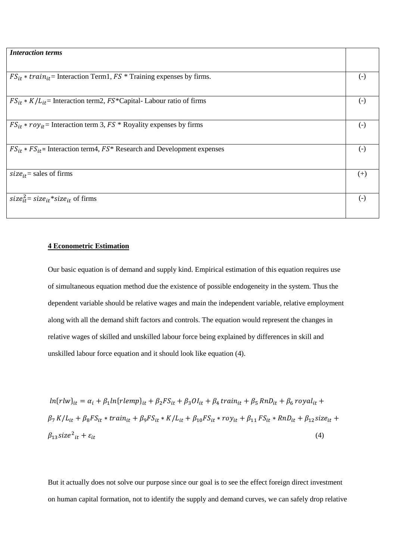| <b>Interaction terms</b>                                                          |                        |
|-----------------------------------------------------------------------------------|------------------------|
|                                                                                   |                        |
| $FS_{it} * train_{it}$ = Interaction Term1, $FS *$ Training expenses by firms.    | $(-)$                  |
|                                                                                   |                        |
| $FS_{it} * K/L_{it}$ = Interaction term2, $FS^*$ Capital-Labour ratio of firms    | $\left( \cdot \right)$ |
|                                                                                   |                        |
| $FS_{it}$ * $roy_{it}$ = Interaction term 3, $FS$ * Royality expenses by firms    | $(-)$                  |
|                                                                                   |                        |
| $FS_{it} * FS_{it}$ = Interaction term4, $FS^*$ Research and Development expenses | $\left( -\right)$      |
|                                                                                   |                        |
| size <sub>it</sub> = sales of firms                                               | $(+)$                  |
|                                                                                   |                        |
| size <sub>it</sub> = size <sub>it</sub> *size <sub>it</sub> of firms              | $(-)$                  |
|                                                                                   |                        |
|                                                                                   |                        |

#### **4 Econometric Estimation**

Our basic equation is of demand and supply kind. Empirical estimation of this equation requires use of simultaneous equation method due the existence of possible endogeneity in the system. Thus the dependent variable should be relative wages and main the independent variable, relative employment along with all the demand shift factors and controls. The equation would represent the changes in relative wages of skilled and unskilled labour force being explained by differences in skill and unskilled labour force equation and it should look like equation (4).

 $ln(r l w)_{it} = \alpha_i + \beta_1 ln(r lemp)_{it} + \beta_2 FS_{it} + \beta_3 O l_{it} + \beta_4 train_{it} + \beta_5 R n D_{it} + \beta_6 royal_{it} +$  $\beta_7 K/L_{it} + \beta_8 FS_{it} * train_{it} + \beta_9 FS_{it} * K/L_{it} + \beta_{10} FS_{it} * roy_{it} + \beta_{11} FS_{it} * RnD_{it} + \beta_{12} size_{it} +$  $\beta_{13}$ size<sup>2</sup><sub>it</sub> +  $\varepsilon_{it}$  $_{it} + \varepsilon_{it}$  (4)

But it actually does not solve our purpose since our goal is to see the effect foreign direct investment on human capital formation, not to identify the supply and demand curves, we can safely drop relative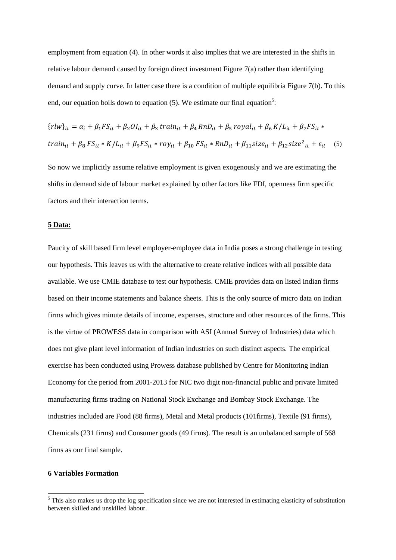employment from equation (4). In other words it also implies that we are interested in the shifts in relative labour demand caused by foreign direct investment Figure 7(a) rather than identifying demand and supply curve. In latter case there is a condition of multiple equilibria Figure 7(b). To this end, our equation boils down to equation  $(5)$ . We estimate our final equation<sup>5</sup>:

$$
\{rlw\}_{it} = \alpha_i + \beta_1 FS_{it} + \beta_2 O I_{it} + \beta_3 \, train_{it} + \beta_4 \, Rn_i + \beta_5 \, royal_{it} + \beta_6 \, K / L_{it} + \beta_7 FS_{it} \, *
$$
\n
$$
train_{it} + \beta_8 \, FS_{it} \, * \, K / L_{it} + \beta_9 FS_{it} \, * \, roy_{it} + \beta_{10} \, FS_{it} \, * \, Rn_i + \beta_{11} \, size_{it} + \beta_{12} \, size^2_{it} + \varepsilon_{it} \quad (5)
$$

So now we implicitly assume relative employment is given exogenously and we are estimating the shifts in demand side of labour market explained by other factors like FDI, openness firm specific factors and their interaction terms.

#### **5 Data:**

Paucity of skill based firm level employer-employee data in India poses a strong challenge in testing our hypothesis. This leaves us with the alternative to create relative indices with all possible data available. We use CMIE database to test our hypothesis. CMIE provides data on listed Indian firms based on their income statements and balance sheets. This is the only source of micro data on Indian firms which gives minute details of income, expenses, structure and other resources of the firms. This is the virtue of PROWESS data in comparison with ASI (Annual Survey of Industries) data which does not give plant level information of Indian industries on such distinct aspects. The empirical exercise has been conducted using Prowess database published by Centre for Monitoring Indian Economy for the period from 2001-2013 for NIC two digit non-financial public and private limited manufacturing firms trading on National Stock Exchange and Bombay Stock Exchange. The industries included are Food (88 firms), Metal and Metal products (101firms), Textile (91 firms), Chemicals (231 firms) and Consumer goods (49 firms). The result is an unbalanced sample of 568 firms as our final sample.

# **6 Variables Formation**

**.** 

 $<sup>5</sup>$  This also makes us drop the log specification since we are not interested in estimating elasticity of substitution</sup> between skilled and unskilled labour.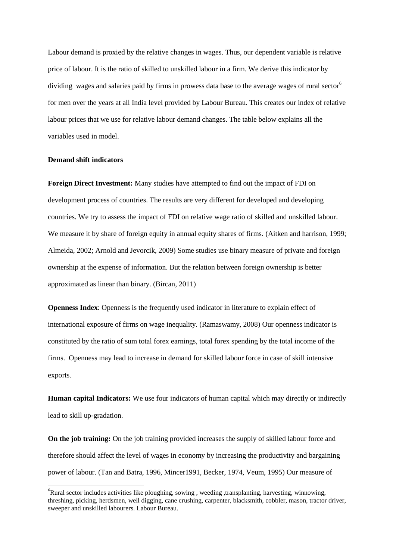Labour demand is proxied by the relative changes in wages. Thus, our dependent variable is relative price of labour. It is the ratio of skilled to unskilled labour in a firm. We derive this indicator by dividing wages and salaries paid by firms in prowess data base to the average wages of rural sector<sup>6</sup> for men over the years at all India level provided by Labour Bureau. This creates our index of relative labour prices that we use for relative labour demand changes. The table below explains all the variables used in model.

#### **Demand shift indicators**

**.** 

**Foreign Direct Investment:** Many studies have attempted to find out the impact of FDI on development process of countries. The results are very different for developed and developing countries. We try to assess the impact of FDI on relative wage ratio of skilled and unskilled labour. We measure it by share of foreign equity in annual equity shares of firms. (Aitken and harrison, 1999; Almeida, 2002; Arnold and Jevorcik, 2009) Some studies use binary measure of private and foreign ownership at the expense of information. But the relation between foreign ownership is better approximated as linear than binary. (Bircan, 2011)

**Openness Index**: Openness is the frequently used indicator in literature to explain effect of international exposure of firms on wage inequality. (Ramaswamy, 2008) Our openness indicator is constituted by the ratio of sum total forex earnings, total forex spending by the total income of the firms. Openness may lead to increase in demand for skilled labour force in case of skill intensive exports.

**Human capital Indicators:** We use four indicators of human capital which may directly or indirectly lead to skill up-gradation.

**On the job training:** On the job training provided increases the supply of skilled labour force and therefore should affect the level of wages in economy by increasing the productivity and bargaining power of labour. (Tan and Batra, 1996, Mincer1991, Becker, 1974, Veum, 1995) Our measure of

<sup>&</sup>lt;sup>6</sup>Rural sector includes activities like ploughing, sowing, weeding, transplanting, harvesting, winnowing, threshing, picking, herdsmen, well digging, cane crushing, carpenter, blacksmith, cobbler, mason, tractor driver, sweeper and unskilled labourers. Labour Bureau.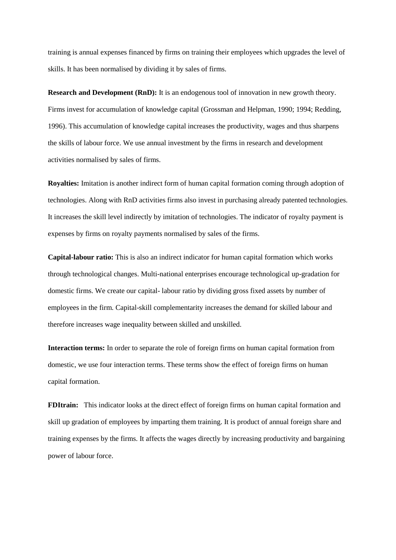training is annual expenses financed by firms on training their employees which upgrades the level of skills. It has been normalised by dividing it by sales of firms.

**Research and Development (RnD):** It is an endogenous tool of innovation in new growth theory. Firms invest for accumulation of knowledge capital (Grossman and Helpman, 1990; 1994; Redding, 1996). This accumulation of knowledge capital increases the productivity, wages and thus sharpens the skills of labour force. We use annual investment by the firms in research and development activities normalised by sales of firms.

**Royalties:** Imitation is another indirect form of human capital formation coming through adoption of technologies. Along with RnD activities firms also invest in purchasing already patented technologies. It increases the skill level indirectly by imitation of technologies. The indicator of royalty payment is expenses by firms on royalty payments normalised by sales of the firms.

**Capital-labour ratio:** This is also an indirect indicator for human capital formation which works through technological changes. Multi-national enterprises encourage technological up-gradation for domestic firms. We create our capital- labour ratio by dividing gross fixed assets by number of employees in the firm. Capital-skill complementarity increases the demand for skilled labour and therefore increases wage inequality between skilled and unskilled.

**Interaction terms:** In order to separate the role of foreign firms on human capital formation from domestic, we use four interaction terms. These terms show the effect of foreign firms on human capital formation.

**FDItrain:** This indicator looks at the direct effect of foreign firms on human capital formation and skill up gradation of employees by imparting them training. It is product of annual foreign share and training expenses by the firms. It affects the wages directly by increasing productivity and bargaining power of labour force.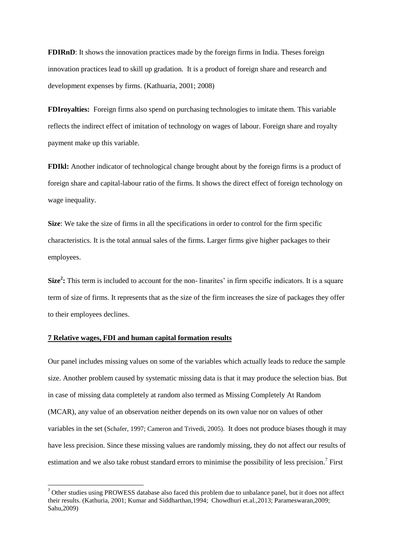**FDIRnD**: It shows the innovation practices made by the foreign firms in India. Theses foreign innovation practices lead to skill up gradation. It is a product of foreign share and research and development expenses by firms. (Kathuaria, 2001; 2008)

**FDIroyalties:** Foreign firms also spend on purchasing technologies to imitate them. This variable reflects the indirect effect of imitation of technology on wages of labour. Foreign share and royalty payment make up this variable.

**FDIkl:** Another indicator of technological change brought about by the foreign firms is a product of foreign share and capital-labour ratio of the firms. It shows the direct effect of foreign technology on wage inequality.

**Size**: We take the size of firms in all the specifications in order to control for the firm specific characteristics. It is the total annual sales of the firms. Larger firms give higher packages to their employees.

Size<sup>2</sup>: This term is included to account for the non-linarites' in firm specific indicators. It is a square term of size of firms. It represents that as the size of the firm increases the size of packages they offer to their employees declines.

# **7 Relative wages, FDI and human capital formation results**

**.** 

Our panel includes missing values on some of the variables which actually leads to reduce the sample size. Another problem caused by systematic missing data is that it may produce the selection bias. But in case of missing data completely at random also termed as Missing Completely At Random (MCAR), any value of an observation neither depends on its own value nor on values of other variables in the set (Schafer, 1997; Cameron and Trivedi, 2005). It does not produce biases though it may have less precision. Since these missing values are randomly missing, they do not affect our results of estimation and we also take robust standard errors to minimise the possibility of less precision.<sup>7</sup> First

<sup>&</sup>lt;sup>7</sup> Other studies using PROWESS database also faced this problem due to unbalance panel, but it does not affect their results. (Kathuria, 2001; Kumar and Siddharthan,1994; Chowdhuri et.al.,2013; Parameswaran,2009; Sahu,2009)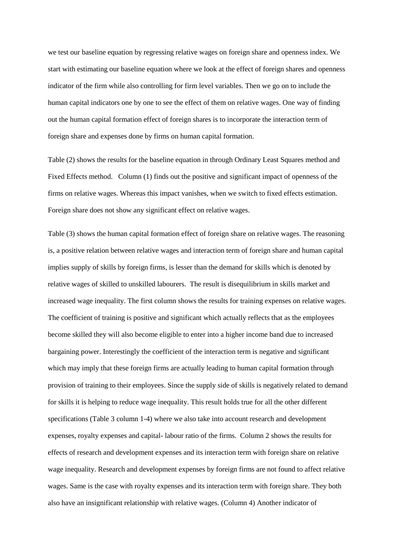we test our baseline equation by regressing relative wages on foreign share and openness index. We start with estimating our baseline equation where we look at the effect of foreign shares and openness indicator of the firm while also controlling for firm level variables. Then we go on to include the human capital indicators one by one to see the effect of them on relative wages. One way of finding out the human capital formation effect of foreign shares is to incorporate the interaction term of foreign share and expenses done by firms on human capital formation.

Table (2) shows the results for the baseline equation in through Ordinary Least Squares method and Fixed Effects method. Column (1) finds out the positive and significant impact of openness of the firms on relative wages. Whereas this impact vanishes, when we switch to fixed effects estimation. Foreign share does not show any significant effect on relative wages.

Table (3) shows the human capital formation effect of foreign share on relative wages. The reasoning is, a positive relation between relative wages and interaction term of foreign share and human capital implies supply of skills by foreign firms, is lesser than the demand for skills which is denoted by relative wages of skilled to unskilled labourers. The result is disequilibrium in skills market and increased wage inequality. The first column shows the results for training expenses on relative wages. The coefficient of training is positive and significant which actually reflects that as the employees become skilled they will also become eligible to enter into a higher income band due to increased bargaining power. Interestingly the coefficient of the interaction term is negative and significant which may imply that these foreign firms are actually leading to human capital formation through provision of training to their employees. Since the supply side of skills is negatively related to demand for skills it is helping to reduce wage inequality. This result holds true for all the other different specifications (Table 3 column 1-4) where we also take into account research and development expenses, royalty expenses and capital- labour ratio of the firms. Column 2 shows the results for effects of research and development expenses and its interaction term with foreign share on relative wage inequality. Research and development expenses by foreign firms are not found to affect relative wages. Same is the case with royalty expenses and its interaction term with foreign share. They both also have an insignificant relationship with relative wages. (Column 4) Another indicator of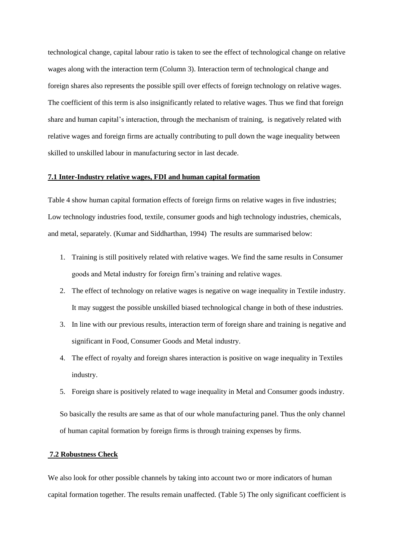technological change, capital labour ratio is taken to see the effect of technological change on relative wages along with the interaction term (Column 3). Interaction term of technological change and foreign shares also represents the possible spill over effects of foreign technology on relative wages. The coefficient of this term is also insignificantly related to relative wages. Thus we find that foreign share and human capital"s interaction, through the mechanism of training, is negatively related with relative wages and foreign firms are actually contributing to pull down the wage inequality between skilled to unskilled labour in manufacturing sector in last decade.

## **7.1 Inter-Industry relative wages, FDI and human capital formation**

Table 4 show human capital formation effects of foreign firms on relative wages in five industries; Low technology industries food, textile, consumer goods and high technology industries, chemicals, and metal, separately. (Kumar and Siddharthan, 1994) The results are summarised below:

- 1. Training is still positively related with relative wages. We find the same results in Consumer goods and Metal industry for foreign firm"s training and relative wages.
- 2. The effect of technology on relative wages is negative on wage inequality in Textile industry. It may suggest the possible unskilled biased technological change in both of these industries.
- 3. In line with our previous results, interaction term of foreign share and training is negative and significant in Food, Consumer Goods and Metal industry.
- 4. The effect of royalty and foreign shares interaction is positive on wage inequality in Textiles industry.
- 5. Foreign share is positively related to wage inequality in Metal and Consumer goods industry.

So basically the results are same as that of our whole manufacturing panel. Thus the only channel of human capital formation by foreign firms is through training expenses by firms.

# **7.2 Robustness Check**

We also look for other possible channels by taking into account two or more indicators of human capital formation together. The results remain unaffected. (Table 5) The only significant coefficient is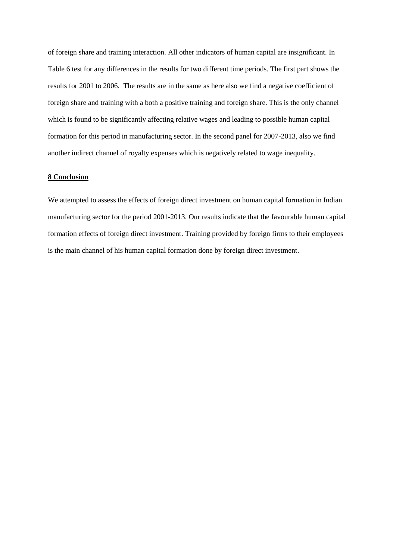of foreign share and training interaction. All other indicators of human capital are insignificant. In Table 6 test for any differences in the results for two different time periods. The first part shows the results for 2001 to 2006. The results are in the same as here also we find a negative coefficient of foreign share and training with a both a positive training and foreign share. This is the only channel which is found to be significantly affecting relative wages and leading to possible human capital formation for this period in manufacturing sector. In the second panel for 2007-2013, also we find another indirect channel of royalty expenses which is negatively related to wage inequality.

# **8 Conclusion**

We attempted to assess the effects of foreign direct investment on human capital formation in Indian manufacturing sector for the period 2001-2013. Our results indicate that the favourable human capital formation effects of foreign direct investment. Training provided by foreign firms to their employees is the main channel of his human capital formation done by foreign direct investment.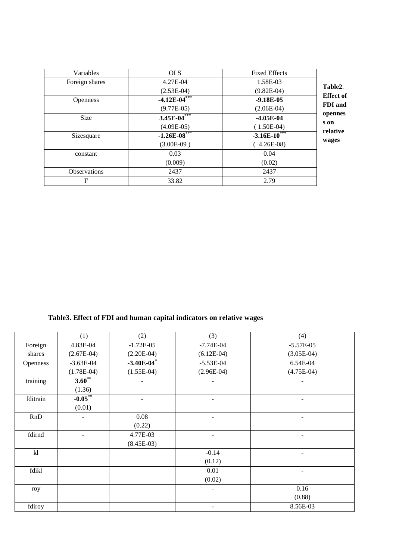| Variables           | <b>OLS</b>        | <b>Fixed Effects</b> |  |
|---------------------|-------------------|----------------------|--|
| Foreign shares      | 4.27E-04          | 1.58E-03             |  |
|                     | $(2.53E-04)$      | $(9.82E-04)$         |  |
| <b>Openness</b>     | $-4.12E - 04$ *** | $-9.18E-05$          |  |
|                     | $(9.77E-05)$      | $(2.06E-04)$         |  |
| <b>Size</b>         | 3.45E- $04***$    | $-4.05E-04$          |  |
|                     | $(4.09E-05)$      | $(1.50E-04)$         |  |
| Sizesquare          | $-1.26E - 08$     | $-3.16E - 10^{***}$  |  |
|                     | $(3.00E-09)$      | $(4.26E-08)$         |  |
| constant            | 0.03              | 0.04                 |  |
|                     | (0.009)           | (0.02)               |  |
| <b>Observations</b> | 2437              | 2437                 |  |
| F                   | 33.82             | 2.79                 |  |

# **Table3. Effect of FDI and human capital indicators on relative wages**

|          | (1)            | (2)                      | (3)          | (4)                      |
|----------|----------------|--------------------------|--------------|--------------------------|
| Foreign  | 4.83E-04       | $-1.72E-05$              | $-7.74E-04$  | $-5.57E-05$              |
| shares   | $(2.67E-04)$   | $(2.20E-04)$             | $(6.12E-04)$ | $(3.05E-04)$             |
| Openness | $-3.63E-04$    | $-3.40E - 04$            | $-5.53E-04$  | 6.54E-04                 |
|          | $(1.78E-04)$   | $(1.55E-04)$             | $(2.96E-04)$ | $(4.75E-04)$             |
| training | $3.60^{**}$    |                          |              |                          |
|          | (1.36)         |                          |              |                          |
| fditrain | $-0.05$ **     | $\overline{\phantom{0}}$ | ۰            | $\overline{\phantom{a}}$ |
|          | (0.01)         |                          |              |                          |
| RnD      | $\blacksquare$ | 0.08                     |              | ٠                        |
|          |                | (0.22)                   |              |                          |
| fdirnd   |                | 4.77E-03                 |              |                          |
|          |                | $(8.45E-03)$             |              |                          |
| k        |                |                          | $-0.14$      | $\overline{\phantom{a}}$ |
|          |                |                          | (0.12)       |                          |
| fdikl    |                |                          | 0.01         |                          |
|          |                |                          | (0.02)       |                          |
| roy      |                |                          |              | 0.16                     |
|          |                |                          |              | (0.88)                   |
| fdiroy   |                |                          |              | 8.56E-03                 |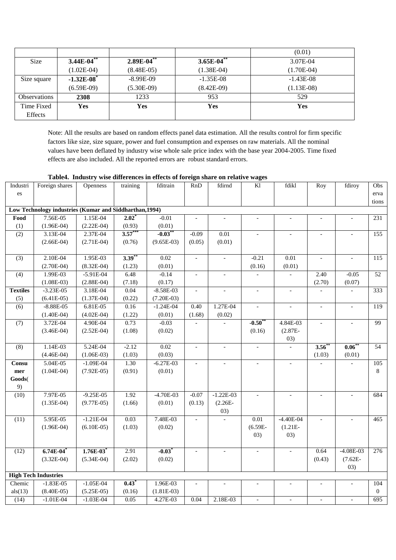|                     |                          |                 |               | (0.01)       |
|---------------------|--------------------------|-----------------|---------------|--------------|
| <b>Size</b>         | $3.44E-04$ **            | $2.89E-04^{**}$ | $3.65E-04$ ** | 3.07E-04     |
|                     | $(1.02E-04)$             | $(8.48E-05)$    | $(1.38E-04)$  | $(1.70E-04)$ |
| Size square         | $-1.32E-08$ <sup>*</sup> | $-8.99E-09$     | $-1.35E-08$   | $-1.43E-08$  |
|                     | $(6.59E-09)$             | $(5.30E-09)$    | $(8.42E-09)$  | $(1.13E-08)$ |
| <b>Observations</b> | 2308                     | 1233            | 953           | 529          |
| Time Fixed          | Yes                      | Yes             | Yes           | Yes          |
| Effects             |                          |                 |               |              |

Note: All the results are based on random effects panel data estimation. All the results control for firm specific factors like size, size square, power and fuel consumption and expenses on raw materials. All the nominal values have been deflated by industry wise whole sale price index with the base year 2004-2005. Time fixed effects are also included. All the reported errors are robust standard errors.

|  |  | Table4. Industry wise differences in effects of foreign share on relative wages |
|--|--|---------------------------------------------------------------------------------|
|  |  |                                                                                 |

I<sub>ndustri</sub>

| Industri                                                | Foreign shares              | Openness      | training  | fditrain     | RnD                      | fdirnd                   | Kl                       | fdikl                    | Roy           | fdiroy                   | Obs              |  |
|---------------------------------------------------------|-----------------------------|---------------|-----------|--------------|--------------------------|--------------------------|--------------------------|--------------------------|---------------|--------------------------|------------------|--|
| es                                                      |                             |               |           |              |                          |                          |                          |                          |               |                          | erva             |  |
|                                                         |                             |               |           |              |                          |                          |                          |                          |               |                          | tions            |  |
| Low Technology industries (Kumar and Siddharthan, 1994) |                             |               |           |              |                          |                          |                          |                          |               |                          |                  |  |
| Food                                                    | 7.56E-05                    | 1.15E-04      | $2.02*$   | $-0.01$      | $\overline{a}$           | $\overline{a}$           | $\overline{\phantom{a}}$ | $\blacksquare$           |               | $\blacksquare$           | $\overline{231}$ |  |
| (1)                                                     | $(1.96E-04)$                | $(2.22E-04)$  | (0.93)    | (0.01)       |                          |                          |                          |                          |               |                          |                  |  |
| (2)                                                     | 3.13E-04                    | 2.37E-04      | $3.57***$ | $-0.03$ **   | $-0.09$                  | 0.01                     | $\overline{\phantom{a}}$ |                          |               |                          | 155              |  |
|                                                         | $(2.66E-04)$                | $(2.71E-04)$  | (0.76)    | $(9.65E-03)$ | (0.05)                   | (0.01)                   |                          |                          |               |                          |                  |  |
|                                                         |                             |               |           |              |                          |                          |                          |                          |               |                          |                  |  |
| $\overline{(3)}$                                        | 2.10E-04                    | 1.95E-03      | $3.39***$ | 0.02         | $\mathbf{r}$             | $\overline{a}$           | $-0.21$                  | 0.01                     | $\mathbf{r}$  | $\mathcal{L}$            | 115              |  |
|                                                         | $(2.70E-04)$                | $(8.32E-04)$  | (1.23)    | (0.01)       |                          |                          | (0.16)                   | (0.01)                   |               |                          |                  |  |
| (4)                                                     | 1.99E-03                    | $-5.91E-04$   | 6.48      | $-0.14$      | $\overline{\phantom{a}}$ | $\overline{\phantom{a}}$ |                          |                          | 2.40          | $-0.05$                  | $\overline{52}$  |  |
|                                                         | $(1.08E-03)$                | $(2.88E-04)$  | (7.18)    | (0.17)       |                          |                          |                          |                          | (2.70)        | (0.07)                   |                  |  |
| <b>Textiles</b>                                         | $-3.23E-05$                 | 3.18E-04      | 0.04      | $-8.58E-03$  | $\mathcal{L}$            | $\overline{\phantom{a}}$ | $\overline{\phantom{a}}$ | $\blacksquare$           |               |                          | 333              |  |
| (5)                                                     | $(6.41E-05)$                | $(1.37E-04)$  | (0.22)    | $(7.20E-03)$ |                          |                          |                          |                          |               |                          |                  |  |
| $\overline{(6)}$                                        | $-8.88E - 05$               | 6.81E-05      | 0.16      | $-1.24E-04$  | 0.40                     | 1.27E-04                 | $\overline{a}$           |                          | $\mathcal{L}$ | $\overline{\phantom{a}}$ | 119              |  |
|                                                         | $(1.40E-04)$                | $(4.02E-04)$  | (1.22)    | (0.01)       | (1.68)                   | (0.02)                   |                          |                          |               |                          |                  |  |
| (7)                                                     | 3.72E-04                    | 4.90E-04      | 0.73      | $-0.03$      | $\overline{a}$           |                          | $-0.50**$                | 4.84E-03                 | $\equiv$      | $\blacksquare$           | 99               |  |
|                                                         | $(3.46E-04)$                | $(2.52E-04)$  | (1.08)    | (0.02)       |                          |                          | (0.16)                   | $(2.87E -$               |               |                          |                  |  |
|                                                         |                             |               |           |              |                          |                          |                          | 03)                      |               |                          |                  |  |
| $\overline{(8)}$                                        | 1.14E-03                    | 5.24E-04      | $-2.12$   | 0.02         | $\blacksquare$           | $\frac{1}{2}$            | $\Box$                   | $\overline{\phantom{a}}$ | $3.56*$       | $0.06***$                | 54               |  |
|                                                         | $(4.46E-04)$                | $(1.06E-03)$  | (1.03)    | (0.03)       |                          |                          |                          |                          | (1.03)        | (0.01)                   |                  |  |
| Consu                                                   | 5.04E-05                    | $-1.09E - 04$ | 1.30      | $-6.27E-03$  |                          |                          |                          |                          |               |                          | 105              |  |
| mer                                                     | $(1.04E-04)$                | $(7.92E-05)$  | (0.91)    | (0.01)       |                          |                          |                          |                          |               |                          | 8                |  |
| Goods(                                                  |                             |               |           |              |                          |                          |                          |                          |               |                          |                  |  |
| 9)                                                      |                             |               |           |              |                          |                          |                          |                          |               |                          |                  |  |
| (10)                                                    | 7.97E-05                    | $-9.25E-05$   | 1.92      | $-4.70E-03$  | $-0.07$                  | $-1.22E-03$              | $\overline{\phantom{a}}$ | $\overline{\phantom{a}}$ | $\sim$        | $\overline{\phantom{a}}$ | 684              |  |
|                                                         | $(1.35E-04)$                | $(9.77E-05)$  | (1.66)    | (0.01)       | (0.13)                   | $(2.26E -$               |                          |                          |               |                          |                  |  |
|                                                         |                             |               |           |              |                          | 03)                      |                          |                          |               |                          |                  |  |
| (11)                                                    | 5.95E-05                    | $-1.21E-04$   | 0.03      | 7.48E-03     | $\blacksquare$           |                          | 0.01                     | $-4.40E - 04$            |               |                          | 465              |  |
|                                                         | $(1.96E-04)$                | $(6.10E-05)$  | (1.03)    | (0.02)       |                          |                          | $(6.59E -$               | $(1.21E -$               |               |                          |                  |  |
|                                                         |                             |               |           |              |                          |                          | 03)                      | 03)                      |               |                          |                  |  |
|                                                         |                             |               |           |              |                          |                          |                          |                          |               |                          |                  |  |
| (12)                                                    | $6.74E-04$                  | $1.76E-03$    | 2.91      | $-0.03*$     | $\overline{\phantom{a}}$ | $\bar{\phantom{a}}$      | $\overline{\phantom{a}}$ | $\overline{\phantom{a}}$ | 0.64          | $-4.08E-03$              | 276              |  |
|                                                         | $(3.32E-04)$                | $(5.34E-04)$  | (2.02)    | (0.02)       |                          |                          |                          |                          | (0.43)        | $(7.62E -$               |                  |  |
|                                                         |                             |               |           |              |                          |                          |                          |                          |               | 03)                      |                  |  |
|                                                         | <b>High Tech Industries</b> |               |           |              |                          |                          |                          |                          |               |                          |                  |  |
| Chemic                                                  | $-1.83E-05$                 | $-1.05E-04$   | 0.43      | 1.96E-03     | $\blacksquare$           |                          | $\overline{\phantom{a}}$ | $\overline{\phantom{a}}$ |               |                          | 104              |  |
| als(13)                                                 | $(8.40E-05)$                | $(5.25E-05)$  | (0.16)    | $(1.81E-03)$ |                          |                          |                          |                          |               |                          | $\overline{0}$   |  |
| (14)                                                    | $-1.01E-04$                 | $-1.03E-04$   | 0.05      | 4.27E-03     | 0.04                     | 2.18E-03                 | $\overline{\phantom{a}}$ |                          |               |                          | 695              |  |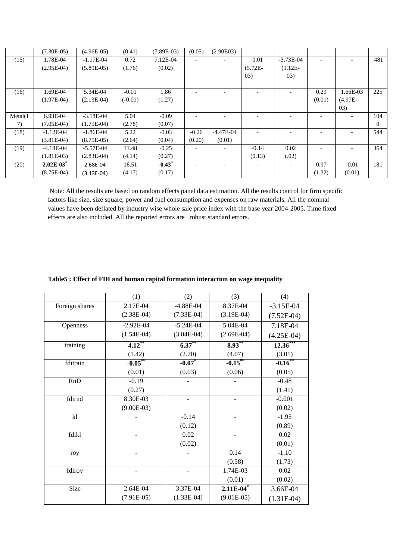|         | $(7.30E-05)$ | $(4.96E-05)$ | (0.41)    | $(7.89E-03)$         | (0.05)  | (2.90E03) |                          |                          |        |                          |          |
|---------|--------------|--------------|-----------|----------------------|---------|-----------|--------------------------|--------------------------|--------|--------------------------|----------|
| (15)    | 1.78E-04     | $-1.17E-04$  | 0.72      | $7.12E-04$           |         |           | 0.01                     | $-3.73E-04$              |        |                          | 481      |
|         | $(2.95E-04)$ | $(5.89E-05)$ | (1.76)    | (0.02)               |         |           | $(5.72E -$               | $(1.12E -$               |        |                          |          |
|         |              |              |           |                      |         |           | 03)                      | 03)                      |        |                          |          |
|         |              |              |           |                      |         |           |                          |                          |        |                          |          |
| (16)    | 1.69E-04     | 5.34E-04     | $-0.01$   | 1.86                 |         |           |                          |                          | 0.29   | 1.66E-03                 | 225      |
|         | $(1.97E-04)$ | $(2.13E-04)$ | $(-0.01)$ | (1.27)               |         |           |                          |                          | (0.01) | $(4.97E -$               |          |
|         |              |              |           |                      |         |           |                          |                          |        | (03)                     |          |
| Meta(1) | 6.93E-04     | $-3.18E-04$  | 5.04      | $-0.09$              |         |           |                          |                          |        |                          | 104      |
| 7)      | $(7.05E-04)$ | $(1.75E-04)$ | (2.78)    | (0.07)               |         |           |                          |                          |        |                          | $\Omega$ |
| (18)    | $-1.12E-04$  | $-1.86E-04$  | 5.22      | $-0.03$              | $-0.26$ | -4.47E-04 | $\overline{\phantom{0}}$ |                          |        | $\overline{\phantom{0}}$ | 544      |
|         | $(3.81E-04)$ | $(8.75E-05)$ | (2.64)    | (0.04)               | (0.20)  | (0.01)    |                          |                          |        |                          |          |
| (19)    | $-4.18E-04$  | $-5.57E-04$  | 11.48     | $-0.25$              |         |           | $-0.14$                  | 0.02                     |        |                          | 364      |
|         | $(1.81E-03)$ | $(2.83E-04)$ | (4.14)    | (0.27)               |         |           | (0.13)                   | (.02)                    |        |                          |          |
| (20)    | $2.02E-03$   | 2.68E-04     | 16.51     | $-0.43$ <sup>*</sup> | ۰       |           |                          | $\overline{\phantom{a}}$ | 0.97   | $-0.01$                  | 181      |
|         | $(8.75E-04)$ | $(3.13E-04)$ | (4.17)    | (0.17)               |         |           |                          |                          | (1.32) | (0.01)                   |          |

Note: All the results are based on random effects panel data estimation. All the results control for firm specific factors like size, size square, power and fuel consumption and expenses on raw materials. All the nominal values have been deflated by industry wise whole sale price index with the base year 2004-2005. Time fixed effects are also included. All the reported errors are robust standard errors.

|                | (1)          | (2)          | (3)                     | (4)          |
|----------------|--------------|--------------|-------------------------|--------------|
| Foreign shares | 2.17E-04     | $-4.88E-04$  | 8.37E-04                | $-3.15E-04$  |
|                | $(2.38E-04)$ | $(7.33E-04)$ | $(3.19E-04)$            | $(7.52E-04)$ |
| Openness       | $-2.92E-04$  | $-5.24E-04$  | 5.04E-04                | 7.18E-04     |
|                | $(1.54E-04)$ | $(3.04E-04)$ | $(2.69E-04)$            | $(4.25E-04)$ |
| training       | $4.12***$    | $6.37***$    | $8.93***$               | $12.36***$   |
|                | (1.42)       | (2.70)       | (4.07)                  | (3.01)       |
| fditrain       | $-0.05***$   | $-0.07$      | $-0.15***$              | $-0.16$ **   |
|                | (0.01)       | (0.03)       | (0.06)                  | (0.05)       |
| RnD            | $-0.19$      |              |                         | $-0.48$      |
|                | (0.27)       |              |                         | (1.41)       |
| fdirnd         | 8.30E-03     |              |                         | $-0.001$     |
|                | $(9.00E-03)$ |              |                         | (0.02)       |
| k              |              | $-0.14$      |                         | $-1.95$      |
|                |              | (0.12)       |                         | (0.89)       |
| fdikl          |              | 0.02         |                         | 0.02         |
|                |              | (0.02)       |                         | (0.01)       |
| roy            |              |              | 0.14                    | $-1.10$      |
|                |              |              | (0.58)                  | (1.73)       |
| fdiroy         |              |              | 1.74E-03                | 0.02         |
|                |              |              | (0.01)                  | (0.02)       |
| Size           | 2.64E-04     | 3.37E-04     | $2.11E-04$ <sup>*</sup> | 3.66E-04     |
|                | $(7.91E-05)$ | $(1.33E-04)$ | $(9.01E-05)$            | $(1.31E-04)$ |

# **Table5 : Effect of FDI and human capital formation interaction on wage inequality**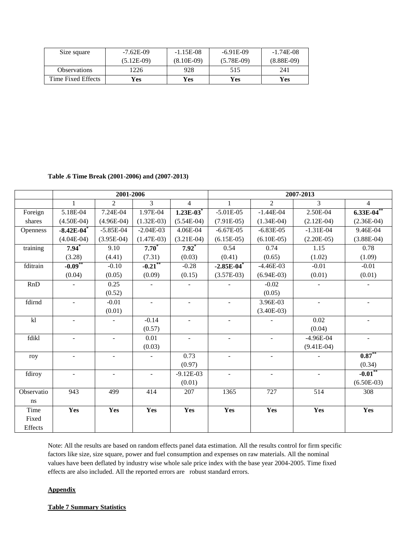| Size square         | $-7.62E-09$  | $-1.15E-08$  | $-6.91E-09$  | $-1.74E-08$  |
|---------------------|--------------|--------------|--------------|--------------|
|                     | $(5.12E-09)$ | $(8.10E-09)$ | $(5.78E-09)$ | $(8.88E-09)$ |
| <b>Observations</b> | ' 226        | 928          | 515          | 241          |
| Time Fixed Effects  | Yes          | Yes          | Yes          | <b>Yes</b>   |

**Table .6 Time Break (2001-2006) and (2007-2013)**

|            |                          | 2001-2006      |                          |                | 2007-2013                |                          |                |                       |
|------------|--------------------------|----------------|--------------------------|----------------|--------------------------|--------------------------|----------------|-----------------------|
|            |                          | $\overline{2}$ | $\overline{3}$           | $\overline{4}$ | 1                        | $\overline{2}$           | 3              | $\overline{4}$        |
| Foreign    | 5.18E-04                 | 7.24E-04       | $1.97E-04$               | $1.23E-03$     | $-5.01E-05$              | $-1.44E-04$              | 2.50E-04       | $6.33E-04$            |
| shares     | $(4.50E-04)$             | $(4.96E-04)$   | $(1.32E-03)$             | $(5.54E-04)$   | $(7.91E-05)$             | $(1.34E-04)$             | $(2.12E-04)$   | $(2.36E-04)$          |
| Openness   | $-8.42E - 04$            | $-5.85E-04$    | $-2.04E-03$              | 4.06E-04       | $-6.67E-05$              | $-6.83E-05$              | $-1.31E-04$    | 9.46E-04              |
|            | $(4.04E-04)$             | $(3.95E-04)$   | $(1.47E-03)$             | $(3.21E-04)$   | $(6.15E-05)$             | $(6.10E-05)$             | $(2.20E-05)$   | $(3.88E-04)$          |
| training   | $7.94*$                  | 9.10           | $7.70^*$                 | $7.92*$        | 0.54                     | 0.74                     | 1.15           | 0.78                  |
|            | (3.28)                   | (4.41)         | (7.31)                   | (0.03)         | (0.41)                   | (0.65)                   | (1.02)         | (1.09)                |
| fditrain   | $-0.09**$                | $-0.10$        | $-0.21$ **               | $-0.28$        | $-2.85E-04$              | $-4.46E-03$              | $-0.01$        | $-0.01$               |
|            | (0.04)                   | (0.05)         | (0.09)                   | (0.15)         | $(3.57E-03)$             | $(6.94E-03)$             | (0.01)         | (0.01)                |
| RnD        |                          | 0.25           |                          |                |                          | $-0.02$                  |                |                       |
|            |                          | (0.52)         |                          |                |                          | (0.05)                   |                |                       |
| fdirnd     | $\sim$                   | $-0.01$        | $\overline{\phantom{a}}$ | $\blacksquare$ | $\blacksquare$           | 3.96E-03                 | $\sim$         |                       |
|            |                          | (0.01)         |                          |                |                          | $(3.40E-03)$             |                |                       |
| k          |                          |                | $-0.14$                  |                |                          |                          | 0.02           |                       |
|            |                          |                | (0.57)                   |                |                          |                          | (0.04)         |                       |
| fdikl      |                          | ÷.             | 0.01                     | $\blacksquare$ | $\overline{\phantom{a}}$ | $\overline{\phantom{a}}$ | $-4.96E-04$    |                       |
|            |                          |                | (0.03)                   |                |                          |                          | $(9.41E-04)$   |                       |
| roy        |                          | Ξ.             | ÷                        | 0.73           | $\sim$                   | $\overline{\phantom{a}}$ |                | $0.87**$              |
|            |                          |                |                          | (0.97)         |                          |                          |                | (0.34)                |
| fdiroy     | $\overline{\phantom{a}}$ | ÷.             | $\overline{\phantom{a}}$ | $-9.12E-03$    | $\overline{\phantom{a}}$ | $\blacksquare$           | $\blacksquare$ | $-0.01$ <sup>**</sup> |
|            |                          |                |                          | (0.01)         |                          |                          |                | $(6.50E-03)$          |
| Observatio | 943                      | 499            | 414                      | 207            | 1365                     | 727                      | 514            | 308                   |
| ns         |                          |                |                          |                |                          |                          |                |                       |
| Time       | Yes                      | Yes            | Yes                      | Yes            | Yes                      | Yes                      | Yes            | Yes                   |
| Fixed      |                          |                |                          |                |                          |                          |                |                       |
| Effects    |                          |                |                          |                |                          |                          |                |                       |

Note: All the results are based on random effects panel data estimation. All the results control for firm specific factors like size, size square, power and fuel consumption and expenses on raw materials. All the nominal values have been deflated by industry wise whole sale price index with the base year 2004-2005. Time fixed effects are also included. All the reported errors are robust standard errors.

#### **Appendix**

#### **Table 7 Summary Statistics**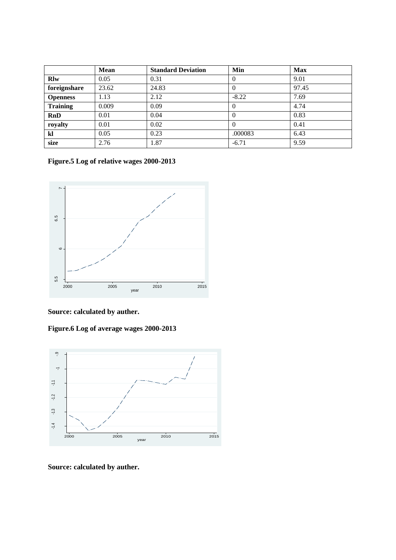|                 | <b>Mean</b> | <b>Standard Deviation</b> | Min      | <b>Max</b> |
|-----------------|-------------|---------------------------|----------|------------|
| <b>R</b> lw     | 0.05        | 0.31                      | $\theta$ | 9.01       |
| foreignshare    | 23.62       | 24.83                     | $\theta$ | 97.45      |
| <b>Openness</b> | 1.13        | 2.12                      | $-8.22$  | 7.69       |
| <b>Training</b> | 0.009       | 0.09                      | $\theta$ | 4.74       |
| <b>RnD</b>      | 0.01        | 0.04                      | $\theta$ | 0.83       |
| royalty         | 0.01        | 0.02                      | $\theta$ | 0.41       |
| kl              | 0.05        | 0.23                      | .000083  | 6.43       |
| size            | 2.76        | 1.87                      | $-6.71$  | 9.59       |

**Figure.5 Log of relative wages 2000-2013**



**Source: calculated by auther.**

**Figure.6 Log of average wages 2000-2013**



**Source: calculated by auther.**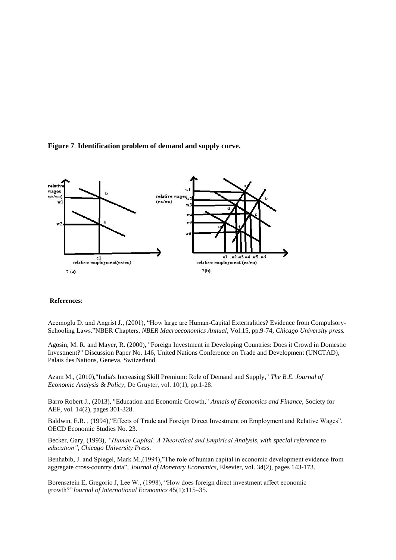



#### **References**:

Acemoglu D. and Angrist J., (2001), "How large are Human-Capital Externalities? Evidence from Compulsory-Schooling Laws."NBER Chapters, *NBER Macroeconomics Annual*, Vol.15, pp.9-74, *Chicago University press.*

Agosin, M. R. and Mayer, R. (2000), "Foreign Investment in Developing Countries: Does it Crowd in Domestic Investment?" Discussion Paper No. 146, United Nations Conference on Trade and Development (UNCTAD), Palais des Nations, Geneva, Switzerland.

Azam M., (2010),"India's Increasing Skill Premium: Role of Demand and Supply," *The B.E. Journal of Economic Analysis & Policy*, De Gruyter, vol. 10(1), pp.1-28.

Barro Robert J., (2013), ["Education and Economic Growth,](http://ideas.repec.org/a/cuf/journl/y2013v14i2barroeducation.html)" *[Annals of Economics and Finance](http://ideas.repec.org/s/cuf/journl.html)*, Society for AEF, vol. 14(2), pages 301-328.

Baldwin, E.R., (1994), "Effects of Trade and Foreign Direct Investment on Employment and Relative Wages", OECD Economic Studies No. 23.

Becker, Gary, (1993), *"Human Capital: A Theoretical and Empirical Analysis, with special reference to education", Chicago University Press*.

Benhabib, J. and Spiegel, Mark M.,(1994),"The role of human capital in economic development evidence from aggregate cross-country data", *Journal of Monetary Economics*, Elsevier, vol. 34(2), pages 143-173.

Borensztein E, Gregorio J, Lee W., (1998), "How does foreign direct investment affect economic growth?"*Journal of International Economics* 45(1):115–35.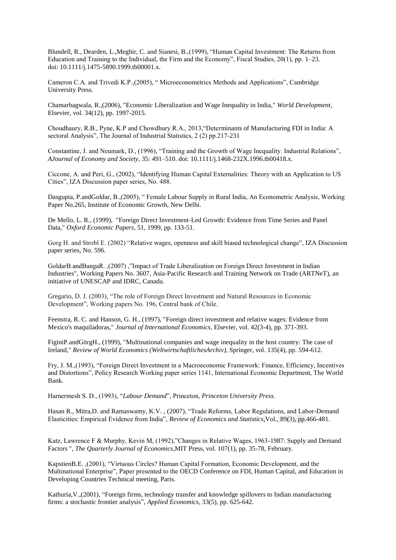Blundell, R., Dearden, L.,Meghir, C. and Sianesi, B.,(1999), "Human Capital Investment: The Returns from Education and Training to the Individual, the Firm and the Economy", Fiscal Studies, 20(1), pp. 1–23. doi: 10.1111/j.1475-5890.1999.tb00001.x.

Cameron C.A. and Trivedi K.P.,(2005), " Microeconometrics Methods and Applications", Cambridge University Press.

Chamarbagwala, R.,(2006), "Economic Liberalization and Wage Inequality in India," *World Development*, Elsevier, vol. 34(12), pp. 1997-2015.

Choudhaury, R.B., Pyne, K.P and Chowdhury R.A., 2013,"Determinants of Manufacturing FDI in India: A sectoral Analysis", The Journal of Industrial Statistics, 2 (2) pp.217-231

Constantine, J. and Neumark, D., (1996), "Training and the Growth of Wage Inequality. Industrial Relations", *AJournal of Economy and Society*, 35: 491–510. doi: 10.1111/j.1468-232X.1996.tb00418.x.

Ciccone, A. and Peri, G., (2002), "Identifying Human Capital Externalities: Theory with an Application to US Cities", IZA Discussion paper series, No. 488.

Dasgupta, P.andGoldar, B.,(2005), " Female Labour Supply in Rural India, An Econometric Analysis, Working Paper No.265, Institute of Economic Growth, New Delhi.

De Mello, L. R., (1999), "Foreign Direct Investment-Led Growth: Evidence from Time Series and Panel Data," *Oxford Economic Papers*, 51, 1999, pp. 133-51.

Gorg H. and Strobl E. (2002) "Relative wages, openness and skill biased technological change", IZA Discussion paper series, No. 596.

GoldarB.andBangaR. ,(2007) ,"Impact of Trade Liberalization on Foreign Direct Investment in Indian Industries", Working Papers No. 3607, Asia-Pacific Research and Training Network on Trade (ARTNeT), an initiative of UNESCAP and IDRC, Canada.

Gregario, D. J. (2003), "The role of Foreign Direct Investment and Natural Resources in Economic Development", Working papers No. 196, Central bank of Chile.

Feenstra, R. C. and Hanson, G. H., (1997), "Foreign direct investment and relative wages: Evidence from Mexico's maquiladoras," *Journal of International Economics*, Elsevier, vol. 42(3-4), pp. 371-393.

FiginiP.andGörgH., (1999), "Multinational companies and wage inequality in the host country: The case of Ireland," *Review of World Economics (WeltwirtschaftlichesArchiv)*, Springer, vol. 135(4), pp. 594-612.

Fry, J. M.,(1993), "Foreign Direct Investment in a Macroeconomic Framework: Finance, Efficiency, Incentives and Distortions", Policy Research Working paper series 1141, International Economic Department, The World Bank.

Harnermesh S. D., (1993), "*Labour Demand*", Princeton, *Princeton University Press*.

Hasan R., Mitra,D. and Ramaswamy, K.V. , (2007), "Trade Reforms, Labor Regulations, and Labor-Demand Elasticities: Empirical Evidence from India", *Review of Economics and Statistics*,Vol., 89(3), pp.466-481.

Katz, Lawrence F & Murphy, Kevin M, (1992),"Changes in Relative Wages, 1963-1987: Supply and Demand Factors ", *The Quarterly Journal of Economics*,MIT Press, vol. 107(1), pp. 35-78, February.

KapstienB.E. ,(2001), "Virtuous Circles? Human Capital Formation, Economic Development, and the Multinational Enterprise", Paper presented to the OECD Conference on FDI, Human Capital, and Education in Developing Countries Technical meeting, Paris.

Kathuria,V.,(2001), "Foreign firms, technology transfer and knowledge spillovers to Indian manufacturing firms: a stochastic frontier analysis", *Applied Economics*, 33(5), pp. 625-642.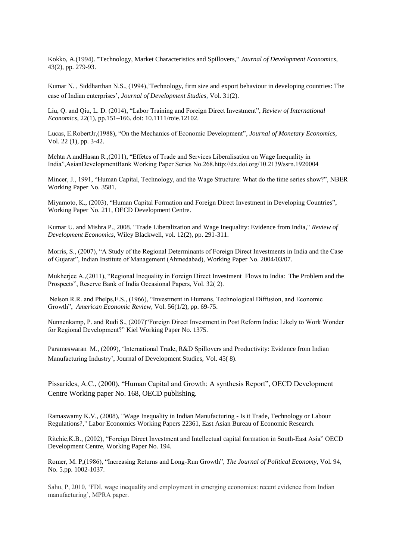Kokko, A.(1994). "Technology, Market Characteristics and Spillovers," *Journal of Development Economics*, 43(2), pp. 279-93.

Kumar N. , Siddharthan N.S., (1994),"Technology, firm size and export behaviour in developing countries: The case of Indian enterprises", *Journal of Development Studies*, Vol. 31(2).

Liu, Q. and Qiu, L. D. (2014), "Labor Training and Foreign Direct Investment", *Review of International Economics*, 22(1), pp.151–166. doi: 10.1111/roie.12102.

Lucas, E.RobertJr,(1988), "On the Mechanics of Economic Development", *Journal of Monetary Economics*, Vol. 22 (1), pp. 3-42.

Mehta A.andHasan R.,(2011), "Effetcs of Trade and Services Liberalisation on Wage Inequality in India",AsianDevelopmentBank Working Paper Series No.268.http://dx.doi.org/10.2139/ssrn.1920004

Mincer, J., 1991, "Human Capital, Technology, and the Wage Structure: What do the time series show?", NBER Working Paper No. 3581.

Miyamoto, K., (2003), "Human Capital Formation and Foreign Direct Investment in Developing Countries", Working Paper No. 211, OECD Development Centre.

Kumar U. and Mishra P., 2008. "Trade Liberalization and Wage Inequality: Evidence from India," *Review of Development Economics*, Wiley Blackwell, vol. 12(2), pp. 291-311.

Morris, S., (2007), "A Study of the Regional Determinants of Foreign Direct Investments in India and the Case of Gujarat", Indian Institute of Management (Ahmedabad), Working Paper No. 2004/03/07.

Mukherjee A.,(2011), "Regional Inequality in Foreign Direct Investment Flows to India: The Problem and the Prospects", Reserve Bank of India Occasional Papers, Vol. 32( 2).

Nelson R.R. and Phelps,E.S., (1966), "Investment in Humans, Technological Diffusion, and Economic Growth", *American Economic Review*, Vol. 56(1/2), pp. 69-75.

Nunnenkamp, P. and Rudi S., (2007)"Foreign Direct Investment in Post Reform India: Likely to Work Wonder for Regional Development?" Kiel Working Paper No. 1375.

Parameswaran M., (2009), "International Trade, R&D Spillovers and Productivity: Evidence from Indian Manufacturing Industry", Journal of Development Studies, Vol. 45( 8).

Pissarides, A.C., (2000), "Human Capital and Growth: A synthesis Report", OECD Development Centre Working paper No. 168, OECD publishing.

Ramaswamy K.V., (2008), "Wage Inequality in Indian Manufacturing - Is it Trade, Technology or Labour Regulations?," Labor Economics Working Papers 22361, East Asian Bureau of Economic Research.

Ritchie,K.B., (2002), "Foreign Direct Investment and Intellectual capital formation in South-East Asia" OECD Development Centre, Working Paper No. 194.

Romer, M. P,(1986), "Increasing Returns and Long-Run Growth", *The Journal of Political Economy*, Vol. 94, No. 5.pp. 1002-1037.

Sahu, P, 2010, "FDI, wage inequality and employment in emerging economies: recent evidence from Indian manufacturing", MPRA paper.